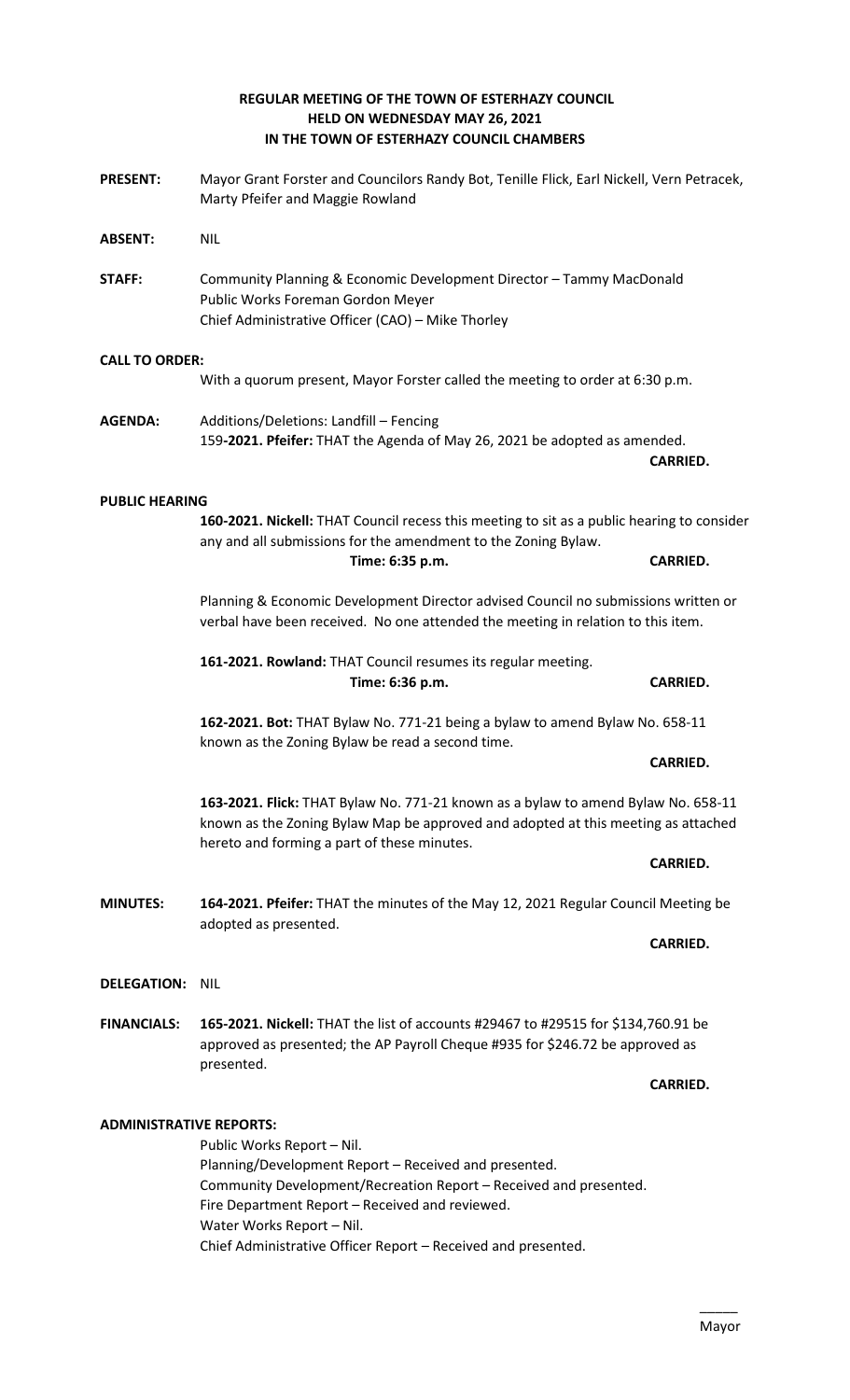#### **REGULAR MEETING OF THE TOWN OF ESTERHAZY COUNCIL HELD ON WEDNESDAY MAY 26, 2021 IN THE TOWN OF ESTERHAZY COUNCIL CHAMBERS**

**PRESENT:** Mayor Grant Forster and Councilors Randy Bot, Tenille Flick, Earl Nickell, Vern Petracek,

Marty Pfeifer and Maggie Rowland

**ABSENT:** NIL

- **STAFF:** Community Planning & Economic Development Director Tammy MacDonald Public Works Foreman Gordon Meyer Chief Administrative Officer (CAO) – Mike Thorley **CALL TO ORDER:** With a quorum present, Mayor Forster called the meeting to order at 6:30 p.m. **AGENDA:** Additions/Deletions: Landfill – Fencing 159**-2021. Pfeifer:** THAT the Agenda of May 26, 2021 be adopted as amended. **CARRIED. PUBLIC HEARING 160-2021. Nickell:** THAT Council recess this meeting to sit as a public hearing to consider any and all submissions for the amendment to the Zoning Bylaw. **Time: 6:35 p.m. CARRIED.**  Planning & Economic Development Director advised Council no submissions written or verbal have been received. No one attended the meeting in relation to this item. **161-2021. Rowland:** THAT Council resumes its regular meeting. **Time: 6:36 p.m. CARRIED. 162-2021. Bot:** THAT Bylaw No. 771-21 being a bylaw to amend Bylaw No. 658-11 known as the Zoning Bylaw be read a second time. **CARRIED. 163-2021. Flick:** THAT Bylaw No. 771-21 known as a bylaw to amend Bylaw No. 658-11 known as the Zoning Bylaw Map be approved and adopted at this meeting as attached hereto and forming a part of these minutes. **CARRIED. MINUTES: 164-2021. Pfeifer:** THAT the minutes of the May 12, 2021 Regular Council Meeting be adopted as presented. **CARRIED. DELEGATION:** NIL **FINANCIALS: 165-2021. Nickell:** THAT the list of accounts #29467 to #29515 for \$134,760.91 be approved as presented; the AP Payroll Cheque #935 for \$246.72 be approved as presented. **CARRIED. ADMINISTRATIVE REPORTS:** Public Works Report – Nil. Planning/Development Report – Received and presented. Community Development/Recreation Report – Received and presented. Fire Department Report – Received and reviewed.
	- Water Works Report Nil.

Chief Administrative Officer Report – Received and presented.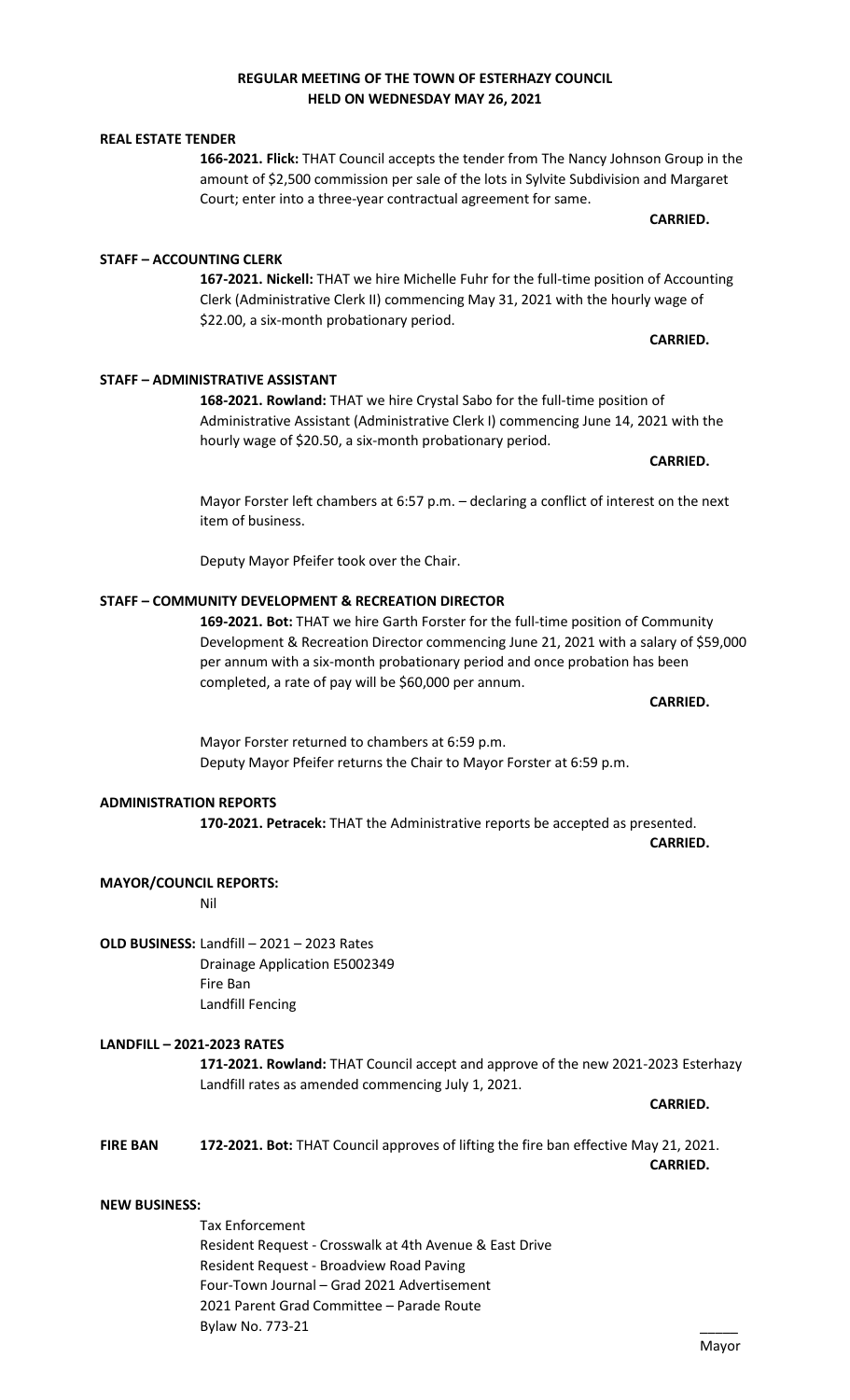# **REGULAR MEETING OF THE TOWN OF ESTERHAZY COUNCIL HELD ON WEDNESDAY MAY 26, 2021**

**166-2021. Flick:** THAT Council accepts the tender from The Nancy Johnson Group in the amount of \$2,500 commission per sale of the lots in Sylvite Subdivision and Margaret Court; enter into a three-year contractual agreement for same.

**167-2021. Nickell:** THAT we hire Michelle Fuhr for the full-time position of Accounting Clerk (Administrative Clerk II) commencing May 31, 2021 with the hourly wage of \$22.00, a six-month probationary period.

**168-2021. Rowland:** THAT we hire Crystal Sabo for the full-time position of Administrative Assistant (Administrative Clerk I) commencing June 14, 2021 with the hourly wage of \$20.50, a six-month probationary period.

Mayor Forster left chambers at 6:57 p.m. – declaring a conflict of interest on the next item of business.

Deputy Mayor Pfeifer took over the Chair.

# **STAFF – COMMUNITY DEVELOPMENT & RECREATION DIRECTOR**

**169-2021. Bot:** THAT we hire Garth Forster for the full-time position of Community Development & Recreation Director commencing June 21, 2021 with a salary of \$59,000 per annum with a six-month probationary period and once probation has been completed, a rate of pay will be \$60,000 per annum.

Mayor Forster returned to chambers at 6:59 p.m. Deputy Mayor Pfeifer returns the Chair to Mayor Forster at 6:59 p.m.

#### **ADMINISTRATION REPORTS**

**170-2021. Petracek:** THAT the Administrative reports be accepted as presented.

**CARRIED.**

**CARRIED.** 

**MAYOR/COUNCIL REPORTS:**

Nil

**OLD BUSINESS:** Landfill – 2021 – 2023 Rates Drainage Application E5002349 Fire Ban Landfill Fencing

**LANDFILL – 2021-2023 RATES**

**171-2021. Rowland:** THAT Council accept and approve of the new 2021-2023 Esterhazy Landfill rates as amended commencing July 1, 2021.

**CARRIED.** 

**FIRE BAN 172-2021. Bot:** THAT Council approves of lifting the fire ban effective May 21, 2021. **CARRIED.** 

#### **NEW BUSINESS:**

Tax Enforcement Resident Request - Crosswalk at 4th Avenue & East Drive Resident Request - Broadview Road Paving Four-Town Journal – Grad 2021 Advertisement 2021 Parent Grad Committee – Parade Route Bylaw No. 773-21 \_\_\_\_\_

### **REAL ESTATE TENDER**

**STAFF – ACCOUNTING CLERK**

**STAFF – ADMINISTRATIVE ASSISTANT**

**CARRIED.** 

**CARRIED.** 

**CARRIED.**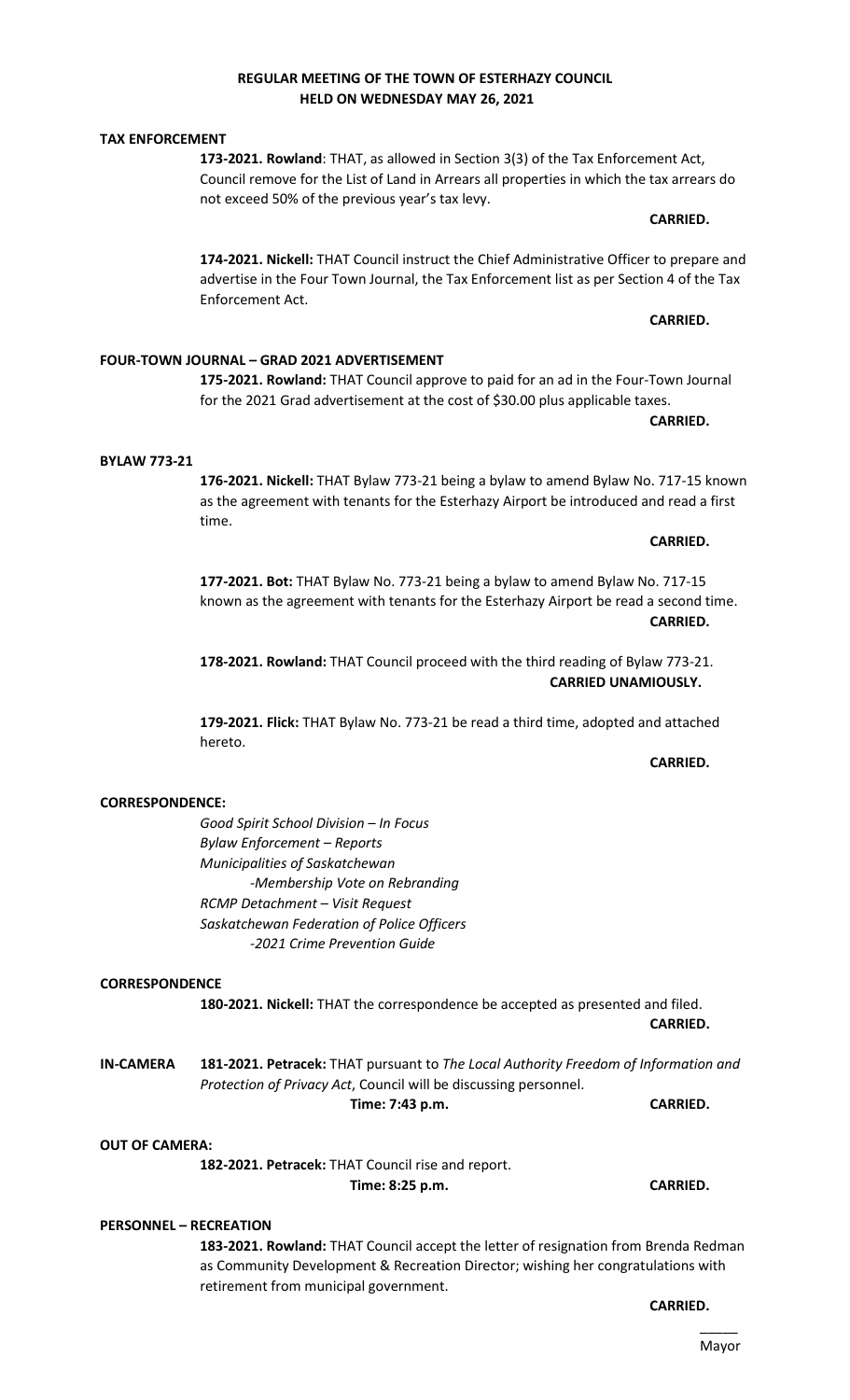#### **REGULAR MEETING OF THE TOWN OF ESTERHAZY COUNCIL HELD ON WEDNESDAY MAY 26, 2021**

**173-2021. Rowland**: THAT, as allowed in Section 3(3) of the Tax Enforcement Act, Council remove for the List of Land in Arrears all properties in which the tax arrears do not exceed 50% of the previous year's tax levy.

**174-2021. Nickell:** THAT Council instruct the Chief Administrative Officer to prepare and advertise in the Four Town Journal, the Tax Enforcement list as per Section 4 of the Tax Enforcement Act.

**175-2021. Rowland:** THAT Council approve to paid for an ad in the Four-Town Journal for the 2021 Grad advertisement at the cost of \$30.00 plus applicable taxes.

**BYLAW 773-21 176-2021. Nickell:** THAT Bylaw 773-21 being a bylaw to amend Bylaw No. 717-15 known as the agreement with tenants for the Esterhazy Airport be introduced and read a first

> **177-2021. Bot:** THAT Bylaw No. 773-21 being a bylaw to amend Bylaw No. 717-15 known as the agreement with tenants for the Esterhazy Airport be read a second time. **CARRIED.**

**178-2021. Rowland:** THAT Council proceed with the third reading of Bylaw 773-21. **CARRIED UNAMIOUSLY.** 

**179-2021. Flick:** THAT Bylaw No. 773-21 be read a third time, adopted and attached hereto.

# **CORRESPONDENCE:**

*Good Spirit School Division – In Focus Bylaw Enforcement – Reports Municipalities of Saskatchewan -Membership Vote on Rebranding RCMP Detachment – Visit Request Saskatchewan Federation of Police Officers -2021 Crime Prevention Guide*

# **CORRESPONDENCE**

**180-2021. Nickell:** THAT the correspondence be accepted as presented and filed. **CARRIED.** 

**IN-CAMERA 181-2021. Petracek:** THAT pursuant to *The Local Authority Freedom of Information and Protection of Privacy Act*, Council will be discussing personnel. **Time: 7:43 p.m. CARRIED.** 

#### **OUT OF CAMERA:**

**182-2021. Petracek:** THAT Council rise and report. **Time: 8:25 p.m. CARRIED.** 

# **PERSONNEL – RECREATION**

**183-2021. Rowland:** THAT Council accept the letter of resignation from Brenda Redman as Community Development & Recreation Director; wishing her congratulations with retirement from municipal government.

**CARRIED.** 

**TAX ENFORCEMENT**

**CARRIED.** 

**CARRIED.** 

**CARRIED.** 

**CARRIED.** 

# **CARRIED.**

# **FOUR-TOWN JOURNAL – GRAD 2021 ADVERTISEMENT**

time.